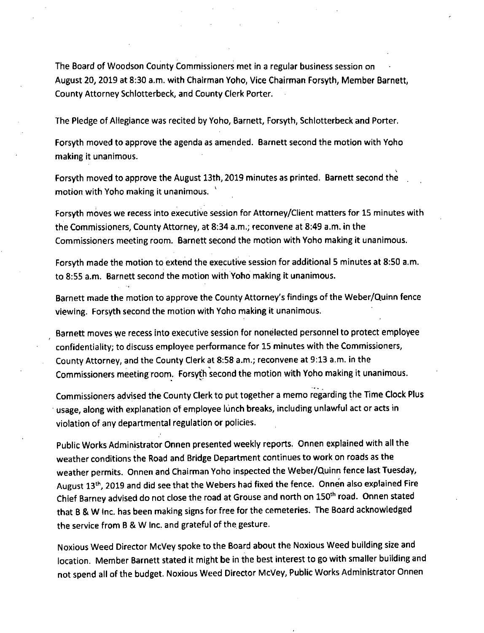The Board of Woodson County Commissioners met in a regular business session on August 20, 2019 at 8:30 a.m. with Chairman Yoho, Vice Chairman Forsyth, Member Barnett, County Attorney Schlotterbeck, and County Clerk Porter.

The Pledge of Allegiance was recited by Yoho, Barnett, Forsyth, Schlotterbeck and Porter.

Forsyth moved to approve the agenda as amended. Barnett second the motion with Yoho making it unanimous.

Forsyth moved to approve the August 13th, 2019 minutes as printed. Barnett second the motion with Yoho making it unanimous.

Forsyth moves we recess into executive session for Attorney/Client matters for 15 minutes with the Commissioners, County Attorney, at 8:34 a.m.; reconvene at 8:49 a.m. in the Commissioners meeting room. Barnett second the motion with Yoho making it unanimous.

Forsyth made the motion to extend the executive session for additional 5 minutes at 8:50 a.m. to 8:55 a.m. Barnett second the motion with Yoho making it unanimous.

Barnett made the motion to approve the County Attorney's findings of the Weber/Quinn fence viewing. Forsyth second the motion with Yoho making it unanimous.

Barnett moves we recess into executive session for nonelected personnel to protect employee confidentiality; to discuss employee performance for 15 minutes with the Commissioners, County Attorney, and the County Clerk at 8:58 a.m.; reconvene at 9:13 a.m. in the Commissioners meeting room. Forsyth second the motion with Yoho making it unanimous.

Commissioners advised the County Clerk to put together a memo regarding the Time Clock Plus usage, along with explanation of employee lunch breaks, including unlawful act or acts in violation of any departmental regulation or policies.

Public Works Administrator Onnen presented weekly reports. Onnen explained with all the weather conditions the Road and Bridge Department continues to work on roads as the weather permits. Onnen and Chairman Yoho inspected the Weber/Quinn fence last Tuesday, August 13<sup>th</sup>, 2019 and did see that the Webers had fixed the fence. Onnen also explained Fire Chief Barney advised do not close the road at Grouse and north on 150<sup>th</sup> road. Onnen stated that B & W Inc. has been making signs for free for the cemeteries. The Board acknowledged the service from B & W Inc. and grateful of the gesture.

Noxious Weed Director McVey spoke to the Board about the Noxious Weed building size and location. Member Barnett stated it might be in the best interest to go with smaller building and not spend all of the budget. Noxious Weed Director McVey, Public Works Administrator Onnen